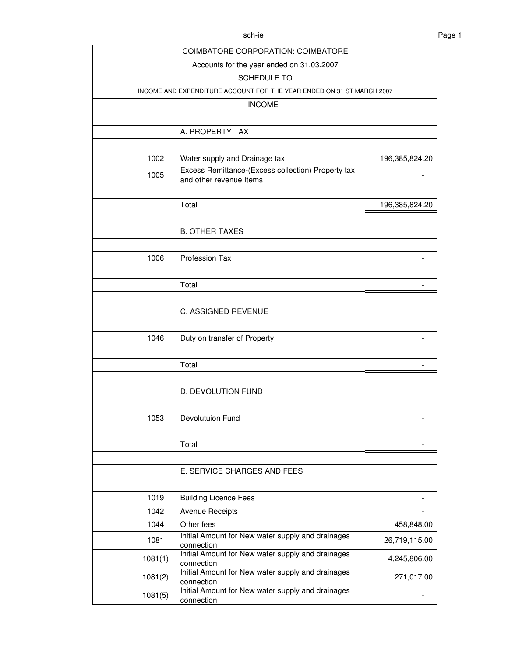|         | COIMBATORE CORPORATION: COIMBATORE                                    |                |
|---------|-----------------------------------------------------------------------|----------------|
|         | Accounts for the year ended on 31.03.2007                             |                |
|         | SCHEDULE TO                                                           |                |
|         | INCOME AND EXPENDITURE ACCOUNT FOR THE YEAR ENDED ON 31 ST MARCH 2007 |                |
|         | <b>INCOME</b>                                                         |                |
|         |                                                                       |                |
|         | A. PROPERTY TAX                                                       |                |
|         |                                                                       |                |
| 1002    | Water supply and Drainage tax                                         | 196,385,824.20 |
| 1005    | Excess Remittance-(Excess collection) Property tax                    |                |
|         | and other revenue Items                                               |                |
|         |                                                                       |                |
|         | Total                                                                 | 196,385,824.20 |
|         |                                                                       |                |
|         | <b>B. OTHER TAXES</b>                                                 |                |
|         |                                                                       |                |
| 1006    | Profession Tax                                                        |                |
|         |                                                                       |                |
|         | Total                                                                 |                |
|         |                                                                       |                |
|         | <b>C. ASSIGNED REVENUE</b>                                            |                |
|         |                                                                       |                |
| 1046    | Duty on transfer of Property                                          |                |
|         |                                                                       |                |
|         | Total                                                                 |                |
|         |                                                                       |                |
|         | D. DEVOLUTION FUND                                                    |                |
|         |                                                                       |                |
| 1053    | Devolutuion Fund                                                      |                |
|         |                                                                       |                |
|         | Total                                                                 |                |
|         |                                                                       |                |
|         | E. SERVICE CHARGES AND FEES                                           |                |
|         |                                                                       |                |
| 1019    | <b>Building Licence Fees</b>                                          |                |
| 1042    | <b>Avenue Receipts</b>                                                |                |
| 1044    | Other fees                                                            | 458,848.00     |
| 1081    | Initial Amount for New water supply and drainages                     | 26,719,115.00  |
|         | connection<br>Initial Amount for New water supply and drainages       |                |
| 1081(1) | connection                                                            | 4,245,806.00   |
| 1081(2) | Initial Amount for New water supply and drainages<br>connection       | 271,017.00     |
| 1081(5) | Initial Amount for New water supply and drainages                     |                |
|         | connection                                                            |                |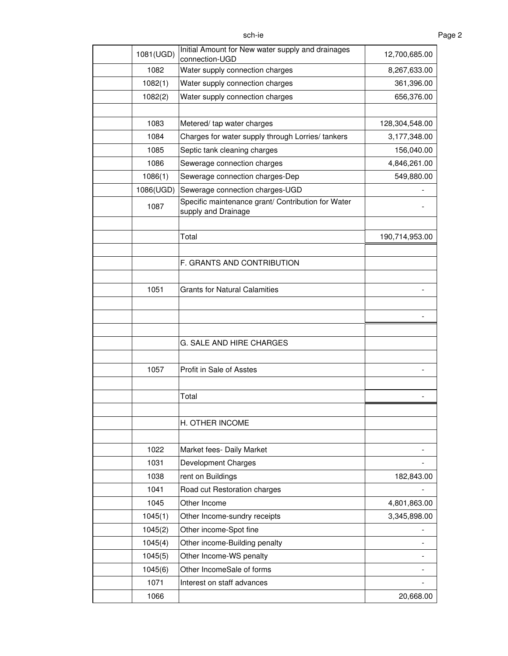| sch-ie | Page 2 |
|--------|--------|
|        |        |

| 1081(UGD) | Initial Amount for New water supply and drainages<br>connection-UGD       | 12,700,685.00  |
|-----------|---------------------------------------------------------------------------|----------------|
| 1082      | Water supply connection charges                                           | 8,267,633.00   |
| 1082(1)   | Water supply connection charges                                           | 361,396.00     |
| 1082(2)   | Water supply connection charges                                           | 656,376.00     |
|           |                                                                           |                |
| 1083      | Metered/ tap water charges                                                | 128,304,548.00 |
| 1084      | Charges for water supply through Lorries/ tankers                         | 3,177,348.00   |
| 1085      | Septic tank cleaning charges                                              | 156,040.00     |
| 1086      | Sewerage connection charges                                               | 4,846,261.00   |
| 1086(1)   | Sewerage connection charges-Dep                                           | 549,880.00     |
| 1086(UGD) | Sewerage connection charges-UGD                                           |                |
| 1087      | Specific maintenance grant/ Contribution for Water<br>supply and Drainage |                |
|           |                                                                           |                |
|           | Total                                                                     | 190,714,953.00 |
|           |                                                                           |                |
|           | F. GRANTS AND CONTRIBUTION                                                |                |
|           |                                                                           |                |
| 1051      | <b>Grants for Natural Calamities</b>                                      |                |
|           |                                                                           |                |
|           |                                                                           |                |
|           |                                                                           |                |
|           | G. SALE AND HIRE CHARGES                                                  |                |
|           |                                                                           |                |
| 1057      | Profit in Sale of Asstes                                                  |                |
|           |                                                                           |                |
|           | Total                                                                     |                |
|           |                                                                           |                |
|           | H. OTHER INCOME                                                           |                |
|           |                                                                           |                |
| 1022      | Market fees- Daily Market                                                 |                |
| 1031      | <b>Development Charges</b>                                                |                |
| 1038      | rent on Buildings                                                         | 182,843.00     |
| 1041      | Road cut Restoration charges                                              |                |
| 1045      | Other Income                                                              | 4,801,863.00   |
| 1045(1)   | Other Income-sundry receipts                                              | 3,345,898.00   |
| 1045(2)   | Other income-Spot fine                                                    |                |
| 1045(4)   | Other income-Building penalty                                             |                |
| 1045(5)   | Other Income-WS penalty                                                   |                |
| 1045(6)   | Other IncomeSale of forms                                                 |                |
| 1071      | Interest on staff advances                                                |                |
| 1066      |                                                                           | 20,668.00      |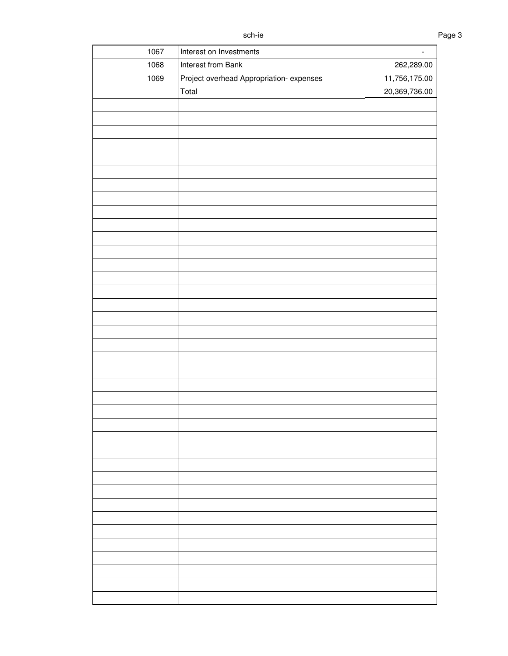| 1067 | Interest on Investments                 | $\blacksquare$ |
|------|-----------------------------------------|----------------|
| 1068 | Interest from Bank                      | 262,289.00     |
| 1069 | Project overhead Appropriation-expenses | 11,756,175.00  |
|      | Total                                   | 20,369,736.00  |
|      |                                         |                |
|      |                                         |                |
|      |                                         |                |
|      |                                         |                |
|      |                                         |                |
|      |                                         |                |
|      |                                         |                |
|      |                                         |                |
|      |                                         |                |
|      |                                         |                |
|      |                                         |                |
|      |                                         |                |
|      |                                         |                |
|      |                                         |                |
|      |                                         |                |
|      |                                         |                |
|      |                                         |                |
|      |                                         |                |
|      |                                         |                |
|      |                                         |                |
|      |                                         |                |
|      |                                         |                |
|      |                                         |                |
|      |                                         |                |
|      |                                         |                |
|      |                                         |                |
|      |                                         |                |
|      |                                         |                |
|      |                                         |                |
|      |                                         |                |
|      |                                         |                |
|      |                                         |                |
|      |                                         |                |
|      |                                         |                |
|      |                                         |                |
|      |                                         |                |
|      |                                         |                |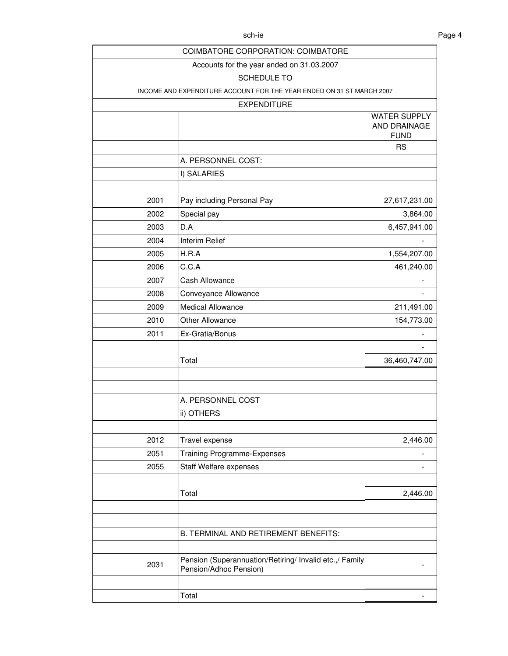|      | COIMBATORE CORPORATION: COIMBATORE                                                |                                                    |
|------|-----------------------------------------------------------------------------------|----------------------------------------------------|
|      | Accounts for the year ended on 31.03.2007                                         |                                                    |
|      | SCHEDULE TO                                                                       |                                                    |
|      | INCOME AND EXPENDITURE ACCOUNT FOR THE YEAR ENDED ON 31 ST MARCH 2007             |                                                    |
|      | <b>EXPENDITURE</b>                                                                |                                                    |
|      |                                                                                   | <b>WATER SUPPLY</b><br>AND DRAINAGE<br><b>FUND</b> |
|      |                                                                                   | <b>RS</b>                                          |
|      | A. PERSONNEL COST:                                                                |                                                    |
|      | I) SALARIES                                                                       |                                                    |
|      |                                                                                   |                                                    |
| 2001 | Pay including Personal Pay                                                        | 27,617,231.00                                      |
| 2002 | Special pay                                                                       | 3,864.00                                           |
| 2003 | D.A                                                                               | 6,457,941.00                                       |
| 2004 | <b>Interim Relief</b>                                                             |                                                    |
| 2005 | H.R.A                                                                             | 1,554,207.00                                       |
| 2006 | C.C.A                                                                             | 461,240.00                                         |
| 2007 | Cash Allowance                                                                    |                                                    |
| 2008 | Conveyance Allowance                                                              |                                                    |
| 2009 | <b>Medical Allowance</b>                                                          | 211,491.00                                         |
| 2010 | <b>Other Allowance</b>                                                            | 154,773.00                                         |
| 2011 | Ex-Gratia/Bonus                                                                   |                                                    |
|      | Total                                                                             | 36,460,747.00                                      |
|      |                                                                                   |                                                    |
|      | A. PERSONNEL COST                                                                 |                                                    |
|      | ii) OTHERS                                                                        |                                                    |
| 2012 | Travel expense                                                                    | 2,446.00                                           |
| 2051 | <b>Training Programme-Expenses</b>                                                |                                                    |
| 2055 | <b>Staff Welfare expenses</b>                                                     |                                                    |
|      | Total                                                                             | 2,446.00                                           |
|      |                                                                                   |                                                    |
|      | B. TERMINAL AND RETIREMENT BENEFITS:                                              |                                                    |
| 2031 | Pension (Superannuation/Retiring/ Invalid etc.,/ Family<br>Pension/Adhoc Pension) |                                                    |
|      | Total                                                                             |                                                    |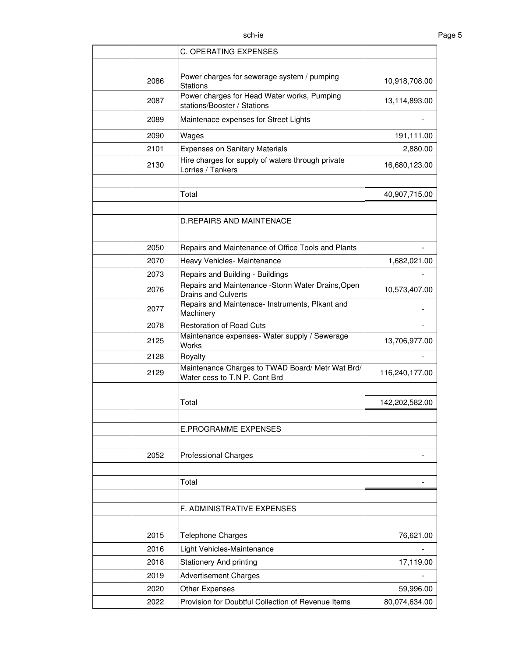|      | <b>C. OPERATING EXPENSES</b>                                                      |                |
|------|-----------------------------------------------------------------------------------|----------------|
|      |                                                                                   |                |
| 2086 | Power charges for sewerage system / pumping<br><b>Stations</b>                    | 10,918,708.00  |
| 2087 | Power charges for Head Water works, Pumping<br>stations/Booster / Stations        | 13,114,893.00  |
| 2089 | Maintenace expenses for Street Lights                                             |                |
| 2090 | Wages                                                                             | 191,111.00     |
| 2101 | <b>Expenses on Sanitary Materials</b>                                             | 2,880.00       |
| 2130 | Hire charges for supply of waters through private<br>Lorries / Tankers            | 16,680,123.00  |
|      |                                                                                   |                |
|      | Total                                                                             | 40,907,715.00  |
|      |                                                                                   |                |
|      | <b>D.REPAIRS AND MAINTENACE</b>                                                   |                |
| 2050 | Repairs and Maintenance of Office Tools and Plants                                |                |
| 2070 | Heavy Vehicles- Maintenance                                                       | 1,682,021.00   |
| 2073 | Repairs and Building - Buildings                                                  |                |
| 2076 | Repairs and Maintenance -Storm Water Drains, Open<br>Drains and Culverts          | 10,573,407.00  |
| 2077 | Repairs and Maintenace- Instruments, Plkant and<br>Machinery                      |                |
| 2078 | <b>Restoration of Road Cuts</b>                                                   |                |
| 2125 | Maintenance expenses- Water supply / Sewerage<br><b>Works</b>                     | 13,706,977.00  |
| 2128 | Royalty                                                                           |                |
| 2129 | Maintenance Charges to TWAD Board/ Metr Wat Brd/<br>Water cess to T.N P. Cont Brd | 116,240,177.00 |
|      |                                                                                   |                |
|      | Total                                                                             | 142,202,582.00 |
|      | <b>E.PROGRAMME EXPENSES</b>                                                       |                |
|      |                                                                                   |                |
| 2052 | <b>Professional Charges</b>                                                       |                |
|      |                                                                                   |                |
|      | Total                                                                             |                |
|      | F. ADMINISTRATIVE EXPENSES                                                        |                |
|      |                                                                                   |                |
| 2015 | Telephone Charges                                                                 | 76,621.00      |
| 2016 | Light Vehicles-Maintenance                                                        |                |
| 2018 | <b>Stationery And printing</b>                                                    | 17,119.00      |
| 2019 | <b>Advertisement Charges</b>                                                      |                |
| 2020 | <b>Other Expenses</b>                                                             | 59,996.00      |
| 2022 | Provision for Doubtful Collection of Revenue Items                                | 80,074,634.00  |